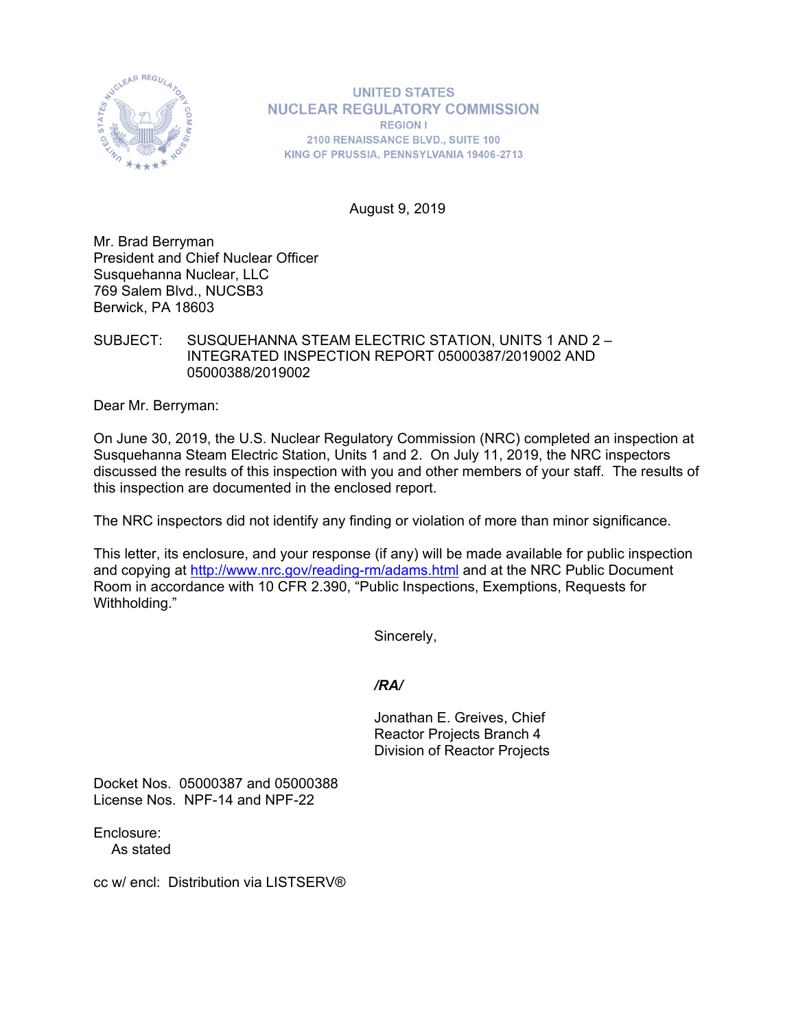

**UNITED STATES NUCLEAR REGULATORY COMMISSION REGION I** 2100 RENAISSANCE BLVD., SUITE 100 KING OF PRUSSIA, PENNSYLVANIA 19406-2713

August 9, 2019

Mr. Brad Berryman President and Chief Nuclear Officer Susquehanna Nuclear, LLC 769 Salem Blvd., NUCSB3 Berwick, PA 18603

### SUBJECT: SUSQUEHANNA STEAM ELECTRIC STATION, UNITS 1 AND 2 – INTEGRATED INSPECTION REPORT 05000387/2019002 AND 05000388/2019002

Dear Mr. Berryman:

On June 30, 2019, the U.S. Nuclear Regulatory Commission (NRC) completed an inspection at Susquehanna Steam Electric Station, Units 1 and 2. On July 11, 2019, the NRC inspectors discussed the results of this inspection with you and other members of your staff. The results of this inspection are documented in the enclosed report.

The NRC inspectors did not identify any finding or violation of more than minor significance.

This letter, its enclosure, and your response (if any) will be made available for public inspection and copying at http://www.nrc.gov/reading-rm/adams.html and at the NRC Public Document Room in accordance with 10 CFR 2.390, "Public Inspections, Exemptions, Requests for Withholding."

Sincerely,

## */RA/*

Jonathan E. Greives, Chief Reactor Projects Branch 4 Division of Reactor Projects

Docket Nos. 05000387 and 05000388 License Nos. NPF-14 and NPF-22

Enclosure: As stated

cc w/ encl: Distribution via LISTSERV®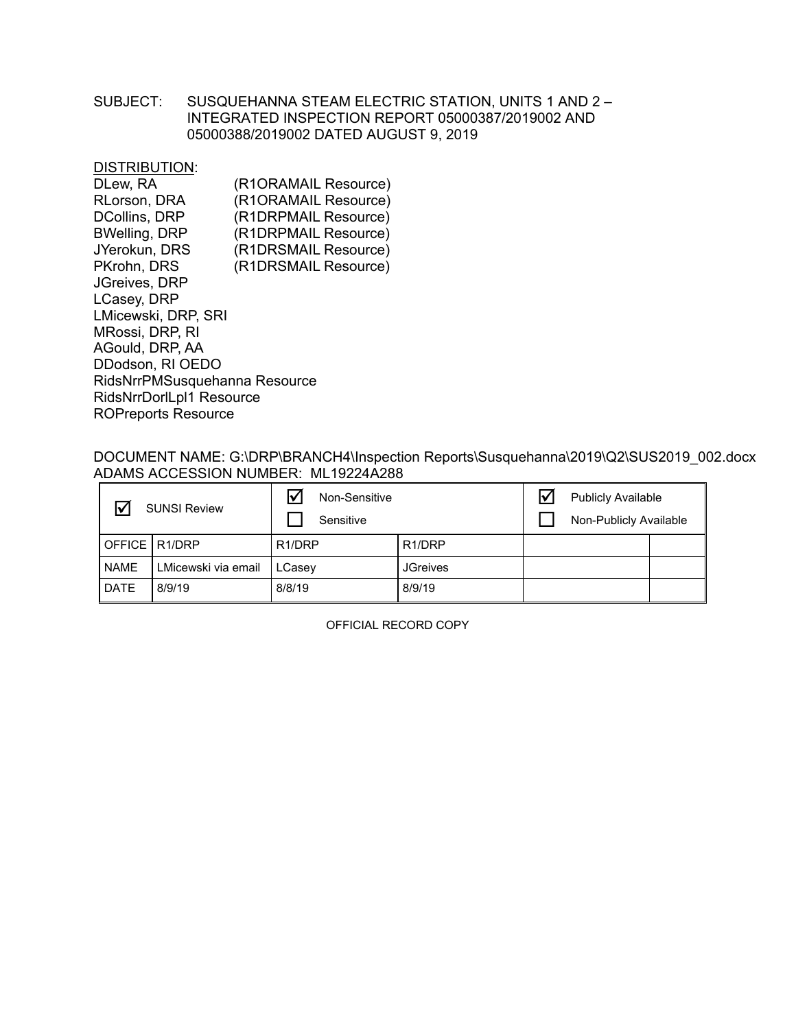## SUBJECT: SUSQUEHANNA STEAM ELECTRIC STATION, UNITS 1 AND 2 – INTEGRATED INSPECTION REPORT 05000387/2019002 AND 05000388/2019002 DATED AUGUST 9, 2019

DISTRIBUTION:

| DLew, RA                      | (R1ORAMAIL Resource) |
|-------------------------------|----------------------|
| RLorson, DRA                  | (R1ORAMAIL Resource) |
| <b>DCollins, DRP</b>          | (R1DRPMAIL Resource) |
| <b>BWelling, DRP</b>          | (R1DRPMAIL Resource) |
| JYerokun, DRS                 | (R1DRSMAIL Resource) |
| PKrohn, DRS                   | (R1DRSMAIL Resource) |
| <b>JGreives, DRP</b>          |                      |
| LCasey, DRP                   |                      |
| LMicewski, DRP, SRI           |                      |
| MRossi, DRP, RI               |                      |
| AGould, DRP, AA               |                      |
| DDodson, RI OEDO              |                      |
| RidsNrrPMSusquehanna Resource |                      |
| RidsNrrDorlLpl1 Resource      |                      |
| <b>ROPreports Resource</b>    |                      |
|                               |                      |

### DOCUMENT NAME: G:\DRP\BRANCH4\Inspection Reports\Susquehanna\2019\Q2\SUS2019\_002.docx ADAMS ACCESSION NUMBER: ML19224A288

|                 | <b>SUNSI Review</b> | l۷<br>Non-Sensitive<br>Sensitive |                     | <b>Publicly Available</b><br>Non-Publicly Available |  |
|-----------------|---------------------|----------------------------------|---------------------|-----------------------------------------------------|--|
| OFFICE   R1/DRP |                     | R <sub>1</sub> /DRP              | R <sub>1</sub> /DRP |                                                     |  |
| <b>NAME</b>     | LMicewski via email | LCasey                           | <b>JGreives</b>     |                                                     |  |
| <b>DATE</b>     | 8/9/19              | 8/8/19                           | 8/9/19              |                                                     |  |

OFFICIAL RECORD COPY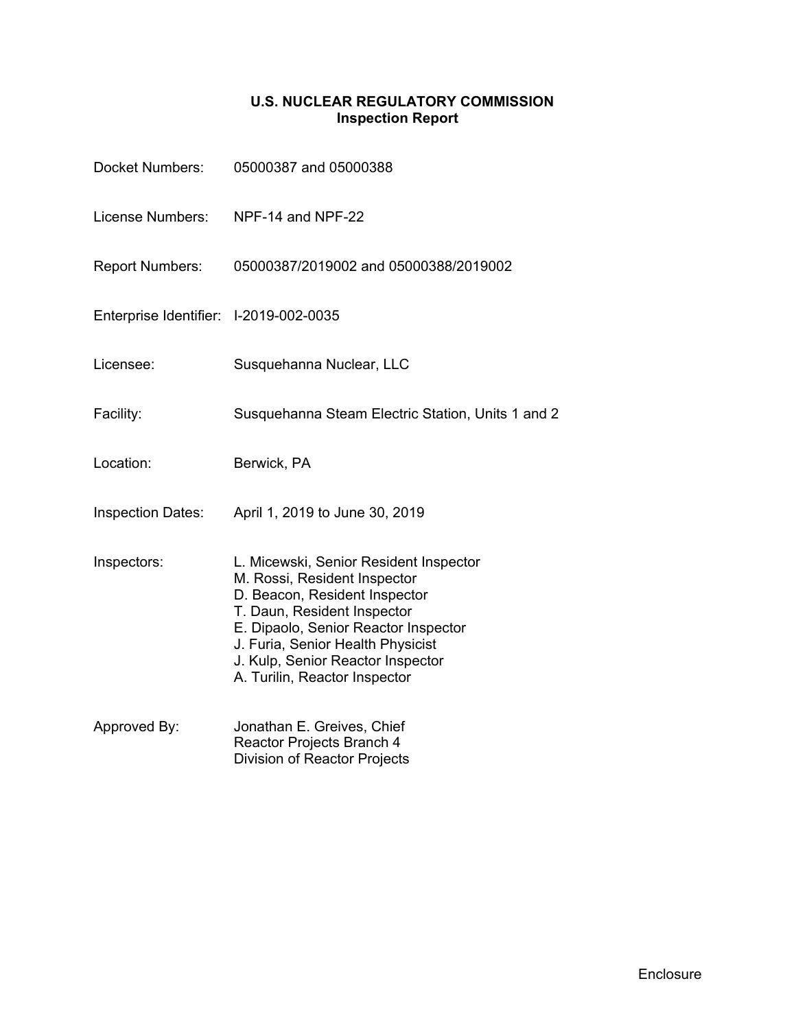## **U.S. NUCLEAR REGULATORY COMMISSION Inspection Report**

| <b>Docket Numbers:</b>                 | 05000387 and 05000388                                                                                                                                                                                                                                                                     |
|----------------------------------------|-------------------------------------------------------------------------------------------------------------------------------------------------------------------------------------------------------------------------------------------------------------------------------------------|
| <b>License Numbers:</b>                | NPF-14 and NPF-22                                                                                                                                                                                                                                                                         |
| <b>Report Numbers:</b>                 | 05000387/2019002 and 05000388/2019002                                                                                                                                                                                                                                                     |
| Enterprise Identifier: I-2019-002-0035 |                                                                                                                                                                                                                                                                                           |
| Licensee:                              | Susquehanna Nuclear, LLC                                                                                                                                                                                                                                                                  |
| Facility:                              | Susquehanna Steam Electric Station, Units 1 and 2                                                                                                                                                                                                                                         |
| Location:                              | Berwick, PA                                                                                                                                                                                                                                                                               |
| <b>Inspection Dates:</b>               | April 1, 2019 to June 30, 2019                                                                                                                                                                                                                                                            |
| Inspectors:                            | L. Micewski, Senior Resident Inspector<br>M. Rossi, Resident Inspector<br>D. Beacon, Resident Inspector<br>T. Daun, Resident Inspector<br>E. Dipaolo, Senior Reactor Inspector<br>J. Furia, Senior Health Physicist<br>J. Kulp, Senior Reactor Inspector<br>A. Turilin, Reactor Inspector |
| Approved By:                           | Jonathan E. Greives, Chief<br>Reactor Projects Branch 4<br>Division of Reactor Projects                                                                                                                                                                                                   |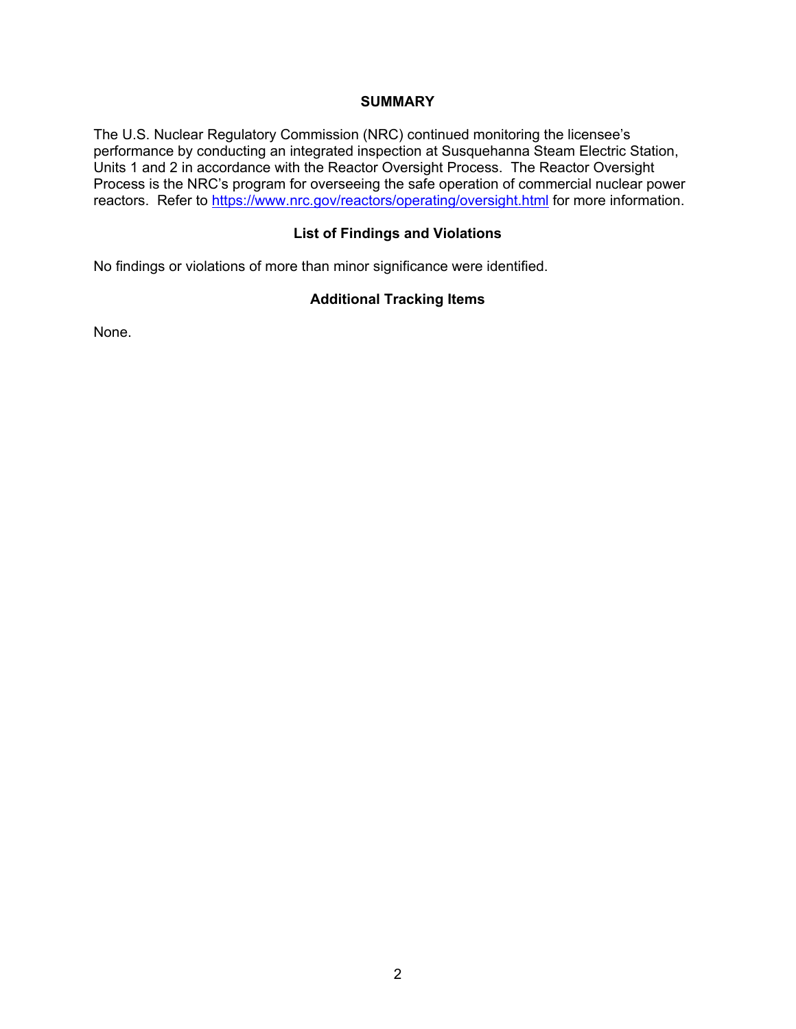### **SUMMARY**

The U.S. Nuclear Regulatory Commission (NRC) continued monitoring the licensee's performance by conducting an integrated inspection at Susquehanna Steam Electric Station, Units 1 and 2 in accordance with the Reactor Oversight Process. The Reactor Oversight Process is the NRC's program for overseeing the safe operation of commercial nuclear power reactors. Refer to https://www.nrc.gov/reactors/operating/oversight.html for more information.

### **List of Findings and Violations**

No findings or violations of more than minor significance were identified.

## **Additional Tracking Items**

None.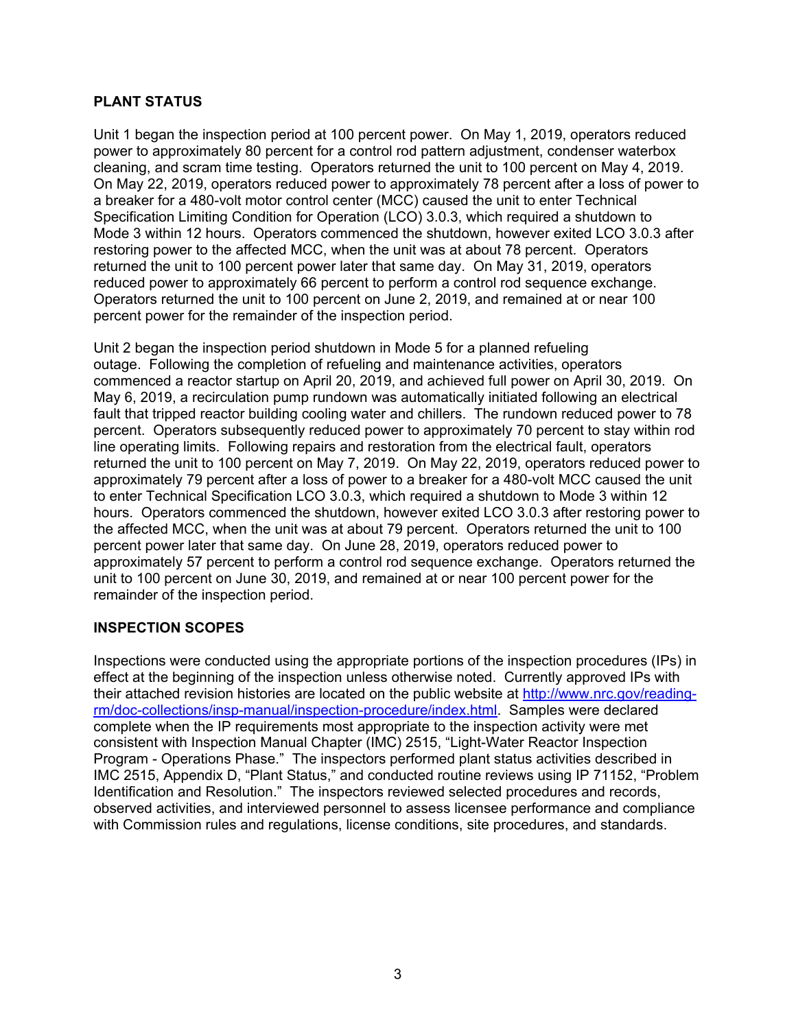## **PLANT STATUS**

Unit 1 began the inspection period at 100 percent power. On May 1, 2019, operators reduced power to approximately 80 percent for a control rod pattern adjustment, condenser waterbox cleaning, and scram time testing. Operators returned the unit to 100 percent on May 4, 2019. On May 22, 2019, operators reduced power to approximately 78 percent after a loss of power to a breaker for a 480-volt motor control center (MCC) caused the unit to enter Technical Specification Limiting Condition for Operation (LCO) 3.0.3, which required a shutdown to Mode 3 within 12 hours. Operators commenced the shutdown, however exited LCO 3.0.3 after restoring power to the affected MCC, when the unit was at about 78 percent. Operators returned the unit to 100 percent power later that same day. On May 31, 2019, operators reduced power to approximately 66 percent to perform a control rod sequence exchange. Operators returned the unit to 100 percent on June 2, 2019, and remained at or near 100 percent power for the remainder of the inspection period.

Unit 2 began the inspection period shutdown in Mode 5 for a planned refueling outage. Following the completion of refueling and maintenance activities, operators commenced a reactor startup on April 20, 2019, and achieved full power on April 30, 2019. On May 6, 2019, a recirculation pump rundown was automatically initiated following an electrical fault that tripped reactor building cooling water and chillers. The rundown reduced power to 78 percent. Operators subsequently reduced power to approximately 70 percent to stay within rod line operating limits. Following repairs and restoration from the electrical fault, operators returned the unit to 100 percent on May 7, 2019. On May 22, 2019, operators reduced power to approximately 79 percent after a loss of power to a breaker for a 480-volt MCC caused the unit to enter Technical Specification LCO 3.0.3, which required a shutdown to Mode 3 within 12 hours. Operators commenced the shutdown, however exited LCO 3.0.3 after restoring power to the affected MCC, when the unit was at about 79 percent. Operators returned the unit to 100 percent power later that same day. On June 28, 2019, operators reduced power to approximately 57 percent to perform a control rod sequence exchange. Operators returned the unit to 100 percent on June 30, 2019, and remained at or near 100 percent power for the remainder of the inspection period.

## **INSPECTION SCOPES**

Inspections were conducted using the appropriate portions of the inspection procedures (IPs) in effect at the beginning of the inspection unless otherwise noted. Currently approved IPs with their attached revision histories are located on the public website at http://www.nrc.gov/readingrm/doc-collections/insp-manual/inspection-procedure/index.html. Samples were declared complete when the IP requirements most appropriate to the inspection activity were met consistent with Inspection Manual Chapter (IMC) 2515, "Light-Water Reactor Inspection Program - Operations Phase." The inspectors performed plant status activities described in IMC 2515, Appendix D, "Plant Status," and conducted routine reviews using IP 71152, "Problem Identification and Resolution." The inspectors reviewed selected procedures and records, observed activities, and interviewed personnel to assess licensee performance and compliance with Commission rules and regulations, license conditions, site procedures, and standards.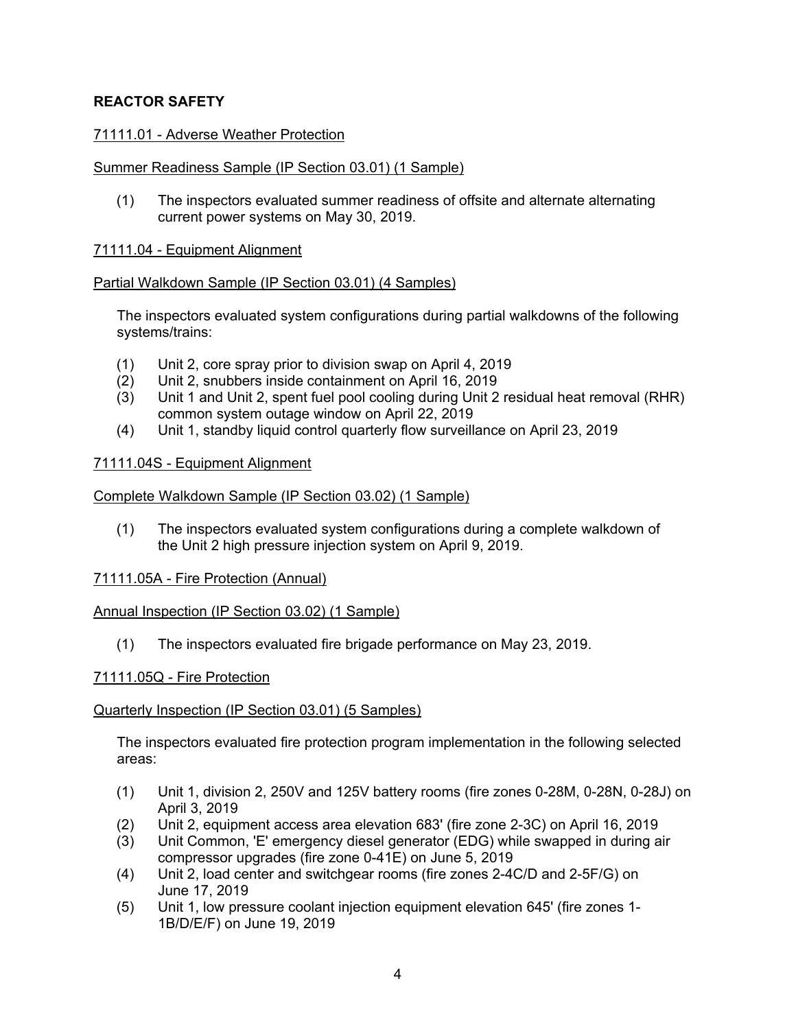## **REACTOR SAFETY**

## 71111.01 - Adverse Weather Protection

### Summer Readiness Sample (IP Section 03.01) (1 Sample)

(1) The inspectors evaluated summer readiness of offsite and alternate alternating current power systems on May 30, 2019.

### 71111.04 - Equipment Alignment

### Partial Walkdown Sample (IP Section 03.01) (4 Samples)

The inspectors evaluated system configurations during partial walkdowns of the following systems/trains:

- (1) Unit 2, core spray prior to division swap on April 4, 2019
- (2) Unit 2, snubbers inside containment on April 16, 2019
- (3) Unit 1 and Unit 2, spent fuel pool cooling during Unit 2 residual heat removal (RHR) common system outage window on April 22, 2019
- (4) Unit 1, standby liquid control quarterly flow surveillance on April 23, 2019

### 71111.04S - Equipment Alignment

### Complete Walkdown Sample (IP Section 03.02) (1 Sample)

(1) The inspectors evaluated system configurations during a complete walkdown of the Unit 2 high pressure injection system on April 9, 2019.

## 71111.05A - Fire Protection (Annual)

#### Annual Inspection (IP Section 03.02) (1 Sample)

(1) The inspectors evaluated fire brigade performance on May 23, 2019.

#### 71111.05Q - Fire Protection

#### Quarterly Inspection (IP Section 03.01) (5 Samples)

The inspectors evaluated fire protection program implementation in the following selected areas:

- (1) Unit 1, division 2, 250V and 125V battery rooms (fire zones 0-28M, 0-28N, 0-28J) on April 3, 2019
- (2) Unit 2, equipment access area elevation 683' (fire zone 2-3C) on April 16, 2019
- (3) Unit Common, 'E' emergency diesel generator (EDG) while swapped in during air compressor upgrades (fire zone 0-41E) on June 5, 2019
- (4) Unit 2, load center and switchgear rooms (fire zones 2-4C/D and 2-5F/G) on June 17, 2019
- (5) Unit 1, low pressure coolant injection equipment elevation 645' (fire zones 1- 1B/D/E/F) on June 19, 2019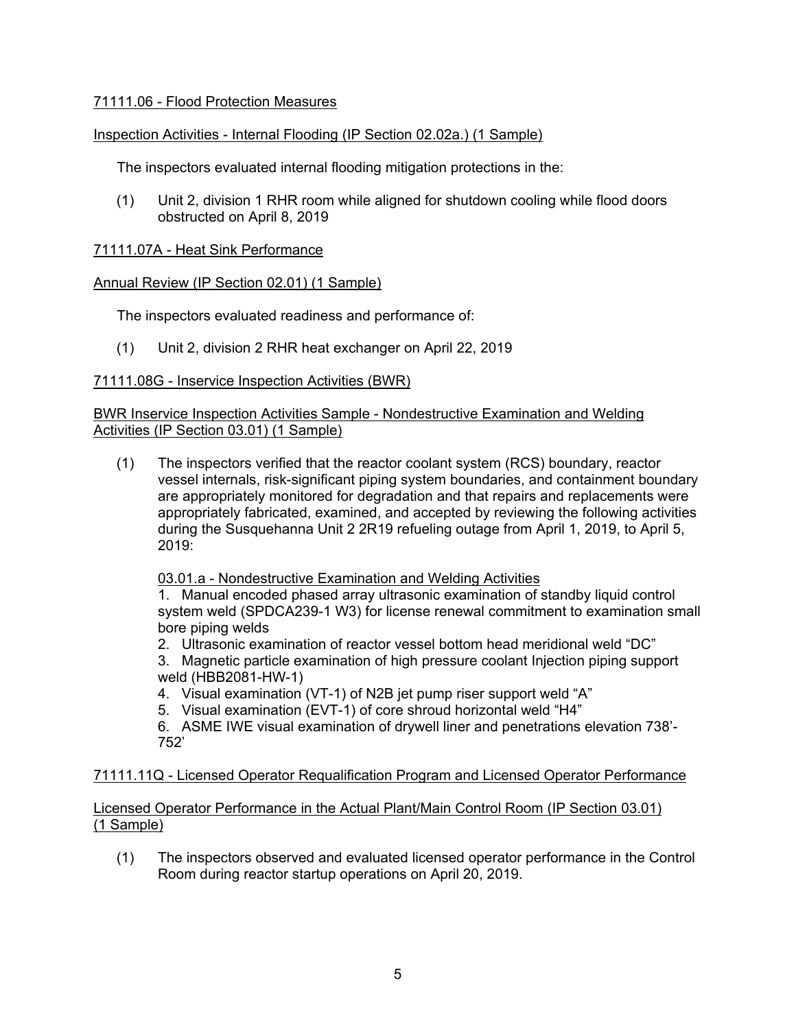## 71111.06 - Flood Protection Measures

## Inspection Activities - Internal Flooding (IP Section 02.02a.) (1 Sample)

The inspectors evaluated internal flooding mitigation protections in the:

(1) Unit 2, division 1 RHR room while aligned for shutdown cooling while flood doors obstructed on April 8, 2019

## 71111.07A - Heat Sink Performance

## Annual Review (IP Section 02.01) (1 Sample)

The inspectors evaluated readiness and performance of:

(1) Unit 2, division 2 RHR heat exchanger on April 22, 2019

## 71111.08G - Inservice Inspection Activities (BWR)

BWR Inservice Inspection Activities Sample - Nondestructive Examination and Welding Activities (IP Section 03.01) (1 Sample)

(1) The inspectors verified that the reactor coolant system (RCS) boundary, reactor vessel internals, risk-significant piping system boundaries, and containment boundary are appropriately monitored for degradation and that repairs and replacements were appropriately fabricated, examined, and accepted by reviewing the following activities during the Susquehanna Unit 2 2R19 refueling outage from April 1, 2019, to April 5, 2019:

03.01.a - Nondestructive Examination and Welding Activities

1. Manual encoded phased array ultrasonic examination of standby liquid control system weld (SPDCA239-1 W3) for license renewal commitment to examination small bore piping welds

2. Ultrasonic examination of reactor vessel bottom head meridional weld "DC"

3. Magnetic particle examination of high pressure coolant Injection piping support weld (HBB2081-HW-1)

- 4. Visual examination (VT-1) of N2B jet pump riser support weld "A"
- 5. Visual examination (EVT-1) of core shroud horizontal weld "H4"

6. ASME IWE visual examination of drywell liner and penetrations elevation 738'- 752'

## 71111.11Q - Licensed Operator Requalification Program and Licensed Operator Performance

## Licensed Operator Performance in the Actual Plant/Main Control Room (IP Section 03.01) (1 Sample)

(1) The inspectors observed and evaluated licensed operator performance in the Control Room during reactor startup operations on April 20, 2019.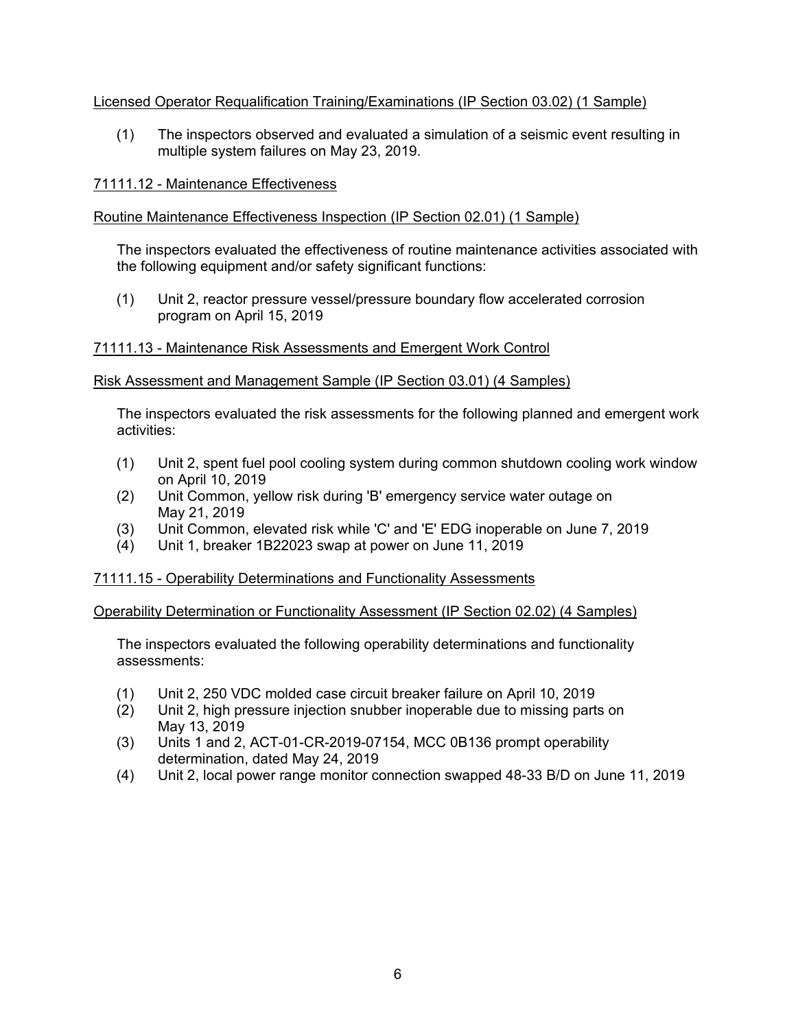## Licensed Operator Requalification Training/Examinations (IP Section 03.02) (1 Sample)

(1) The inspectors observed and evaluated a simulation of a seismic event resulting in multiple system failures on May 23, 2019.

## 71111.12 - Maintenance Effectiveness

## Routine Maintenance Effectiveness Inspection (IP Section 02.01) (1 Sample)

The inspectors evaluated the effectiveness of routine maintenance activities associated with the following equipment and/or safety significant functions:

(1) Unit 2, reactor pressure vessel/pressure boundary flow accelerated corrosion program on April 15, 2019

## 71111.13 - Maintenance Risk Assessments and Emergent Work Control

### Risk Assessment and Management Sample (IP Section 03.01) (4 Samples)

The inspectors evaluated the risk assessments for the following planned and emergent work activities:

- (1) Unit 2, spent fuel pool cooling system during common shutdown cooling work window on April 10, 2019
- (2) Unit Common, yellow risk during 'B' emergency service water outage on May 21, 2019
- (3) Unit Common, elevated risk while 'C' and 'E' EDG inoperable on June 7, 2019
- (4) Unit 1, breaker 1B22023 swap at power on June 11, 2019

#### 71111.15 - Operability Determinations and Functionality Assessments

Operability Determination or Functionality Assessment (IP Section 02.02) (4 Samples)

The inspectors evaluated the following operability determinations and functionality assessments:

- (1) Unit 2, 250 VDC molded case circuit breaker failure on April 10, 2019
- (2) Unit 2, high pressure injection snubber inoperable due to missing parts on May 13, 2019
- (3) Units 1 and 2, ACT-01-CR-2019-07154, MCC 0B136 prompt operability determination, dated May 24, 2019
- (4) Unit 2, local power range monitor connection swapped 48-33 B/D on June 11, 2019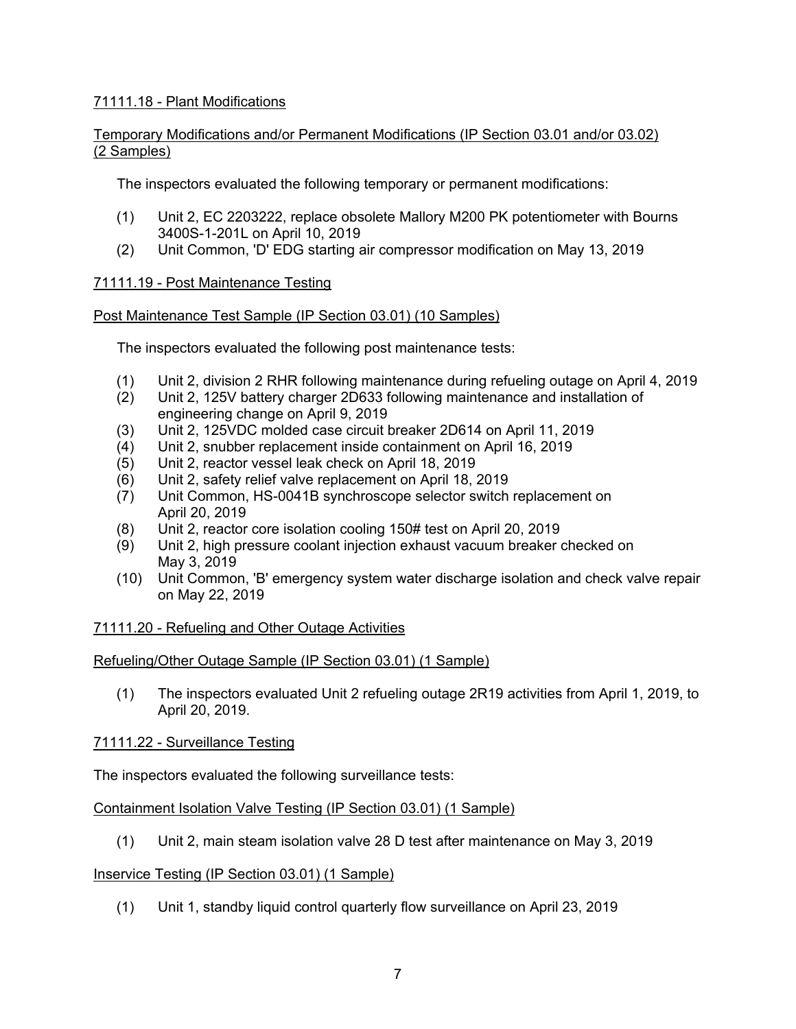## 71111.18 - Plant Modifications

## Temporary Modifications and/or Permanent Modifications (IP Section 03.01 and/or 03.02) (2 Samples)

The inspectors evaluated the following temporary or permanent modifications:

- (1) Unit 2, EC 2203222, replace obsolete Mallory M200 PK potentiometer with Bourns 3400S-1-201L on April 10, 2019
- (2) Unit Common, 'D' EDG starting air compressor modification on May 13, 2019

## 71111.19 - Post Maintenance Testing

## Post Maintenance Test Sample (IP Section 03.01) (10 Samples)

The inspectors evaluated the following post maintenance tests:

- (1) Unit 2, division 2 RHR following maintenance during refueling outage on April 4, 2019
- (2) Unit 2, 125V battery charger 2D633 following maintenance and installation of engineering change on April 9, 2019
- (3) Unit 2, 125VDC molded case circuit breaker 2D614 on April 11, 2019
- (4) Unit 2, snubber replacement inside containment on April 16, 2019
- (5) Unit 2, reactor vessel leak check on April 18, 2019
- (6) Unit 2, safety relief valve replacement on April 18, 2019
- (7) Unit Common, HS-0041B synchroscope selector switch replacement on April 20, 2019
- (8) Unit 2, reactor core isolation cooling 150# test on April 20, 2019
- (9) Unit 2, high pressure coolant injection exhaust vacuum breaker checked on May 3, 2019
- (10) Unit Common, 'B' emergency system water discharge isolation and check valve repair on May 22, 2019

## 71111.20 - Refueling and Other Outage Activities

## Refueling/Other Outage Sample (IP Section 03.01) (1 Sample)

(1) The inspectors evaluated Unit 2 refueling outage 2R19 activities from April 1, 2019, to April 20, 2019.

## 71111.22 - Surveillance Testing

The inspectors evaluated the following surveillance tests:

## Containment Isolation Valve Testing (IP Section 03.01) (1 Sample)

(1) Unit 2, main steam isolation valve 28 D test after maintenance on May 3, 2019

## Inservice Testing (IP Section 03.01) (1 Sample)

(1) Unit 1, standby liquid control quarterly flow surveillance on April 23, 2019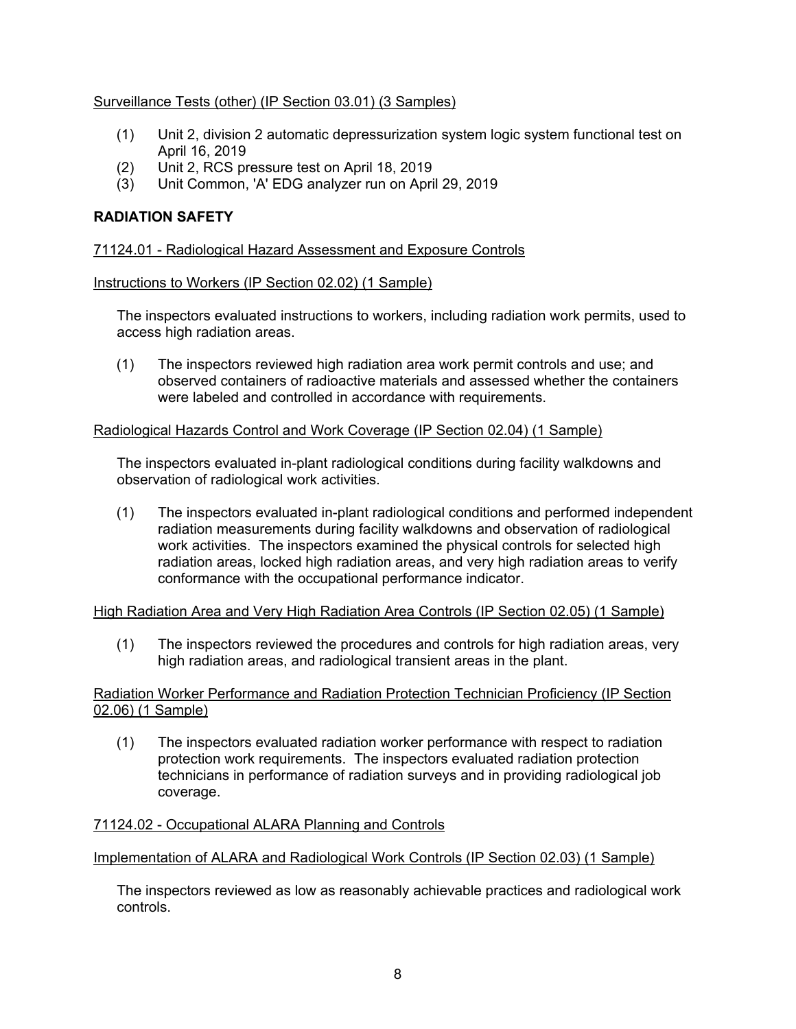## Surveillance Tests (other) (IP Section 03.01) (3 Samples)

- (1) Unit 2, division 2 automatic depressurization system logic system functional test on April 16, 2019
- (2) Unit 2, RCS pressure test on April 18, 2019
- (3) Unit Common, 'A' EDG analyzer run on April 29, 2019

## **RADIATION SAFETY**

## 71124.01 - Radiological Hazard Assessment and Exposure Controls

### Instructions to Workers (IP Section 02.02) (1 Sample)

The inspectors evaluated instructions to workers, including radiation work permits, used to access high radiation areas.

(1) The inspectors reviewed high radiation area work permit controls and use; and observed containers of radioactive materials and assessed whether the containers were labeled and controlled in accordance with requirements.

### Radiological Hazards Control and Work Coverage (IP Section 02.04) (1 Sample)

The inspectors evaluated in-plant radiological conditions during facility walkdowns and observation of radiological work activities.

(1) The inspectors evaluated in-plant radiological conditions and performed independent radiation measurements during facility walkdowns and observation of radiological work activities. The inspectors examined the physical controls for selected high radiation areas, locked high radiation areas, and very high radiation areas to verify conformance with the occupational performance indicator.

## High Radiation Area and Very High Radiation Area Controls (IP Section 02.05) (1 Sample)

(1) The inspectors reviewed the procedures and controls for high radiation areas, very high radiation areas, and radiological transient areas in the plant.

### Radiation Worker Performance and Radiation Protection Technician Proficiency (IP Section 02.06) (1 Sample)

(1) The inspectors evaluated radiation worker performance with respect to radiation protection work requirements. The inspectors evaluated radiation protection technicians in performance of radiation surveys and in providing radiological job coverage.

## 71124.02 - Occupational ALARA Planning and Controls

## Implementation of ALARA and Radiological Work Controls (IP Section 02.03) (1 Sample)

The inspectors reviewed as low as reasonably achievable practices and radiological work controls.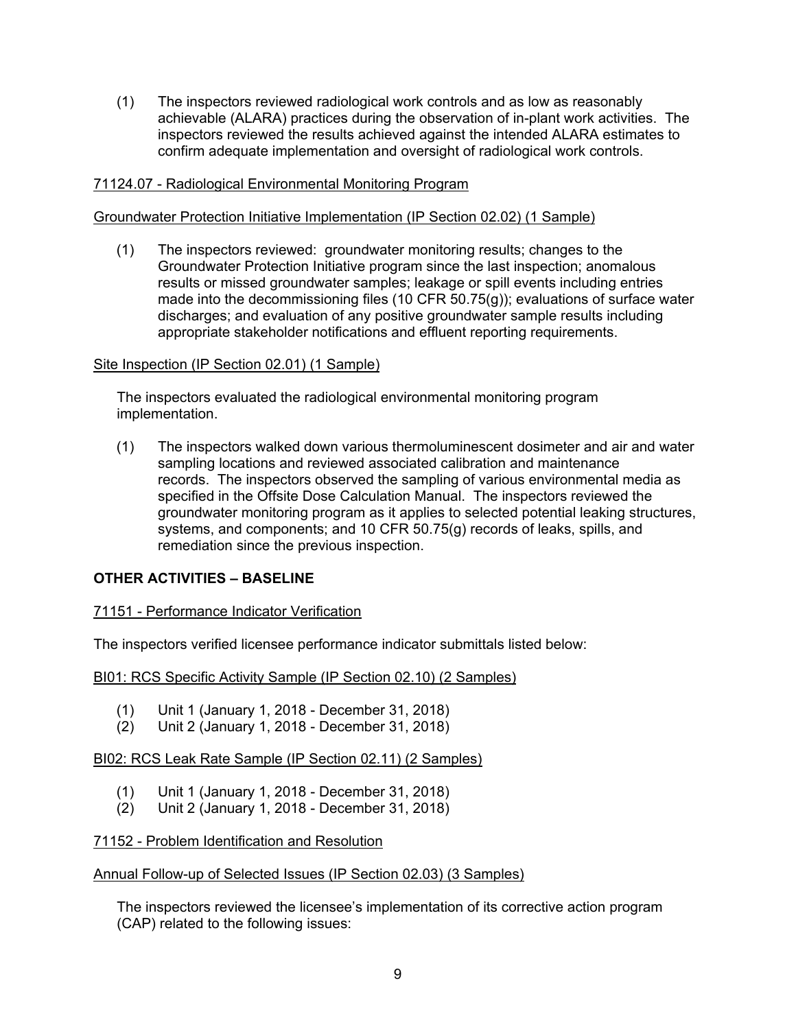(1) The inspectors reviewed radiological work controls and as low as reasonably achievable (ALARA) practices during the observation of in-plant work activities. The inspectors reviewed the results achieved against the intended ALARA estimates to confirm adequate implementation and oversight of radiological work controls.

### 71124.07 - Radiological Environmental Monitoring Program

#### Groundwater Protection Initiative Implementation (IP Section 02.02) (1 Sample)

(1) The inspectors reviewed: groundwater monitoring results; changes to the Groundwater Protection Initiative program since the last inspection; anomalous results or missed groundwater samples; leakage or spill events including entries made into the decommissioning files (10 CFR 50.75(g)); evaluations of surface water discharges; and evaluation of any positive groundwater sample results including appropriate stakeholder notifications and effluent reporting requirements.

#### Site Inspection (IP Section 02.01) (1 Sample)

The inspectors evaluated the radiological environmental monitoring program implementation.

(1) The inspectors walked down various thermoluminescent dosimeter and air and water sampling locations and reviewed associated calibration and maintenance records. The inspectors observed the sampling of various environmental media as specified in the Offsite Dose Calculation Manual. The inspectors reviewed the groundwater monitoring program as it applies to selected potential leaking structures, systems, and components; and 10 CFR 50.75(g) records of leaks, spills, and remediation since the previous inspection.

## **OTHER ACTIVITIES – BASELINE**

#### 71151 - Performance Indicator Verification

The inspectors verified licensee performance indicator submittals listed below:

BI01: RCS Specific Activity Sample (IP Section 02.10) (2 Samples)

- (1) Unit 1 (January 1, 2018 December 31, 2018)
- (2) Unit 2 (January 1, 2018 December 31, 2018)

BI02: RCS Leak Rate Sample (IP Section 02.11) (2 Samples)

- (1) Unit 1 (January 1, 2018 December 31, 2018)
- (2) Unit 2 (January 1, 2018 December 31, 2018)

### 71152 - Problem Identification and Resolution

#### Annual Follow-up of Selected Issues (IP Section 02.03) (3 Samples)

The inspectors reviewed the licensee's implementation of its corrective action program (CAP) related to the following issues: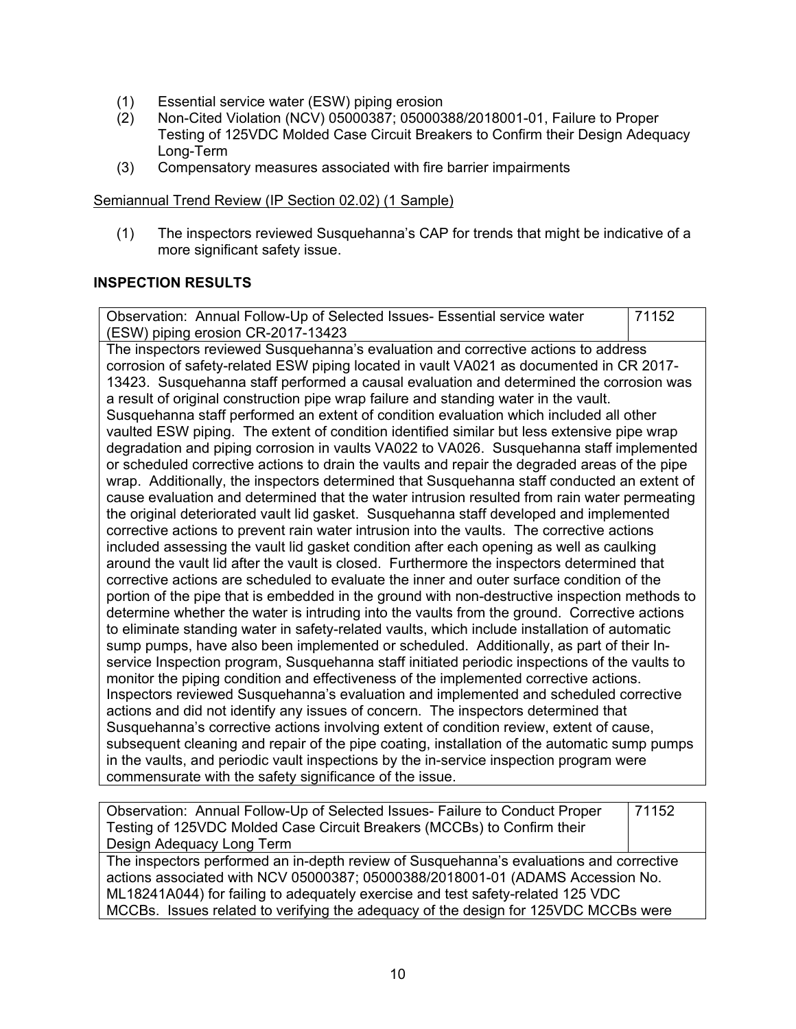- (1) Essential service water (ESW) piping erosion
- (2) Non-Cited Violation (NCV) 05000387; 05000388/2018001-01, Failure to Proper Testing of 125VDC Molded Case Circuit Breakers to Confirm their Design Adequacy Long-Term
- (3) Compensatory measures associated with fire barrier impairments

### Semiannual Trend Review (IP Section 02.02) (1 Sample)

(1) The inspectors reviewed Susquehanna's CAP for trends that might be indicative of a more significant safety issue.

## **INSPECTION RESULTS**

Observation: Annual Follow-Up of Selected Issues- Essential service water (ESW) piping erosion CR-2017-13423 71152 The inspectors reviewed Susquehanna's evaluation and corrective actions to address corrosion of safety-related ESW piping located in vault VA021 as documented in CR 2017- 13423. Susquehanna staff performed a causal evaluation and determined the corrosion was a result of original construction pipe wrap failure and standing water in the vault. Susquehanna staff performed an extent of condition evaluation which included all other vaulted ESW piping. The extent of condition identified similar but less extensive pipe wrap degradation and piping corrosion in vaults VA022 to VA026. Susquehanna staff implemented or scheduled corrective actions to drain the vaults and repair the degraded areas of the pipe wrap. Additionally, the inspectors determined that Susquehanna staff conducted an extent of cause evaluation and determined that the water intrusion resulted from rain water permeating the original deteriorated vault lid gasket. Susquehanna staff developed and implemented corrective actions to prevent rain water intrusion into the vaults. The corrective actions included assessing the vault lid gasket condition after each opening as well as caulking around the vault lid after the vault is closed. Furthermore the inspectors determined that corrective actions are scheduled to evaluate the inner and outer surface condition of the portion of the pipe that is embedded in the ground with non-destructive inspection methods to determine whether the water is intruding into the vaults from the ground. Corrective actions to eliminate standing water in safety-related vaults, which include installation of automatic sump pumps, have also been implemented or scheduled. Additionally, as part of their Inservice Inspection program, Susquehanna staff initiated periodic inspections of the vaults to monitor the piping condition and effectiveness of the implemented corrective actions. Inspectors reviewed Susquehanna's evaluation and implemented and scheduled corrective actions and did not identify any issues of concern. The inspectors determined that Susquehanna's corrective actions involving extent of condition review, extent of cause, subsequent cleaning and repair of the pipe coating, installation of the automatic sump pumps in the vaults, and periodic vault inspections by the in-service inspection program were commensurate with the safety significance of the issue.

| Observation: Annual Follow-Up of Selected Issues- Failure to Conduct Proper             | 71152 |
|-----------------------------------------------------------------------------------------|-------|
| Testing of 125VDC Molded Case Circuit Breakers (MCCBs) to Confirm their                 |       |
| Design Adequacy Long Term                                                               |       |
| The inspectors performed an in-depth review of Susquehanna's evaluations and corrective |       |
| actions associated with NCV 05000387; 05000388/2018001-01 (ADAMS Accession No.          |       |
| ML18241A044) for failing to adequately exercise and test safety-related 125 VDC         |       |
| MCCBs. Issues related to verifying the adequacy of the design for 125VDC MCCBs were     |       |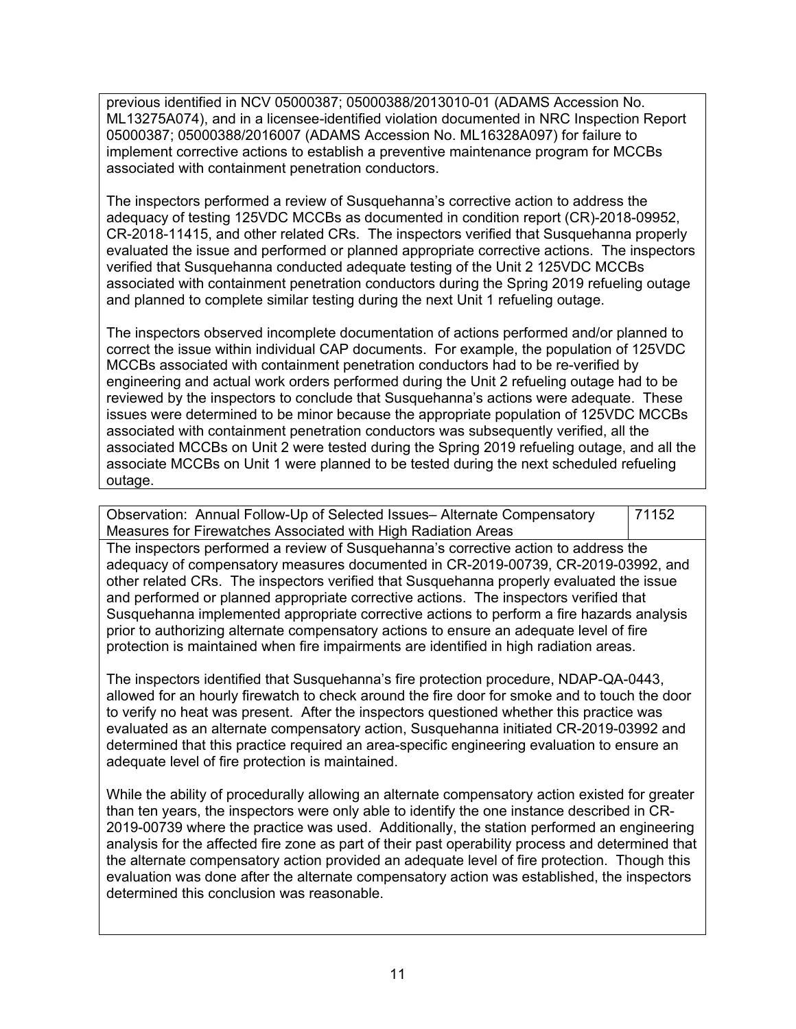previous identified in NCV 05000387; 05000388/2013010-01 (ADAMS Accession No. ML13275A074), and in a licensee-identified violation documented in NRC Inspection Report 05000387; 05000388/2016007 (ADAMS Accession No. ML16328A097) for failure to implement corrective actions to establish a preventive maintenance program for MCCBs associated with containment penetration conductors.

The inspectors performed a review of Susquehanna's corrective action to address the adequacy of testing 125VDC MCCBs as documented in condition report (CR)-2018-09952, CR-2018-11415, and other related CRs. The inspectors verified that Susquehanna properly evaluated the issue and performed or planned appropriate corrective actions. The inspectors verified that Susquehanna conducted adequate testing of the Unit 2 125VDC MCCBs associated with containment penetration conductors during the Spring 2019 refueling outage and planned to complete similar testing during the next Unit 1 refueling outage.

The inspectors observed incomplete documentation of actions performed and/or planned to correct the issue within individual CAP documents. For example, the population of 125VDC MCCBs associated with containment penetration conductors had to be re-verified by engineering and actual work orders performed during the Unit 2 refueling outage had to be reviewed by the inspectors to conclude that Susquehanna's actions were adequate. These issues were determined to be minor because the appropriate population of 125VDC MCCBs associated with containment penetration conductors was subsequently verified, all the associated MCCBs on Unit 2 were tested during the Spring 2019 refueling outage, and all the associate MCCBs on Unit 1 were planned to be tested during the next scheduled refueling outage.

Observation: Annual Follow-Up of Selected Issues– Alternate Compensatory Measures for Firewatches Associated with High Radiation Areas 71152

The inspectors performed a review of Susquehanna's corrective action to address the adequacy of compensatory measures documented in CR-2019-00739, CR-2019-03992, and other related CRs. The inspectors verified that Susquehanna properly evaluated the issue and performed or planned appropriate corrective actions. The inspectors verified that Susquehanna implemented appropriate corrective actions to perform a fire hazards analysis prior to authorizing alternate compensatory actions to ensure an adequate level of fire protection is maintained when fire impairments are identified in high radiation areas.

The inspectors identified that Susquehanna's fire protection procedure, NDAP-QA-0443, allowed for an hourly firewatch to check around the fire door for smoke and to touch the door to verify no heat was present. After the inspectors questioned whether this practice was evaluated as an alternate compensatory action, Susquehanna initiated CR-2019-03992 and determined that this practice required an area-specific engineering evaluation to ensure an adequate level of fire protection is maintained.

While the ability of procedurally allowing an alternate compensatory action existed for greater than ten years, the inspectors were only able to identify the one instance described in CR-2019-00739 where the practice was used. Additionally, the station performed an engineering analysis for the affected fire zone as part of their past operability process and determined that the alternate compensatory action provided an adequate level of fire protection. Though this evaluation was done after the alternate compensatory action was established, the inspectors determined this conclusion was reasonable.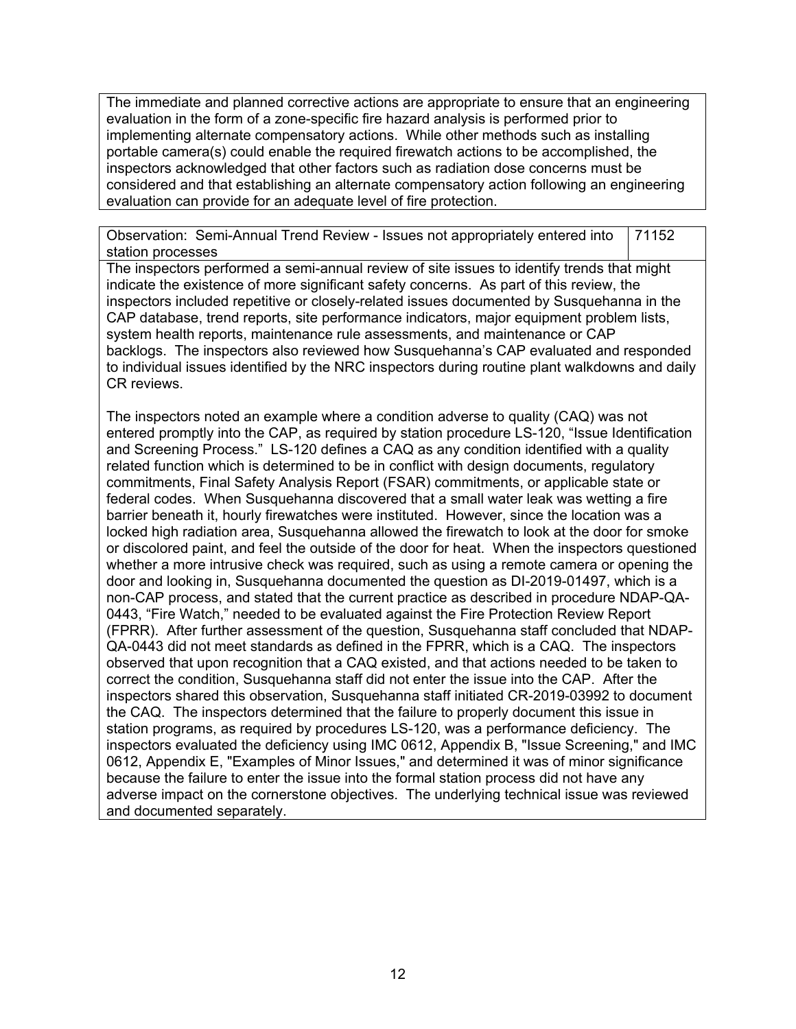The immediate and planned corrective actions are appropriate to ensure that an engineering evaluation in the form of a zone-specific fire hazard analysis is performed prior to implementing alternate compensatory actions. While other methods such as installing portable camera(s) could enable the required firewatch actions to be accomplished, the inspectors acknowledged that other factors such as radiation dose concerns must be considered and that establishing an alternate compensatory action following an engineering evaluation can provide for an adequate level of fire protection.

Observation: Semi-Annual Trend Review - Issues not appropriately entered into station processes 71152

The inspectors performed a semi-annual review of site issues to identify trends that might indicate the existence of more significant safety concerns. As part of this review, the inspectors included repetitive or closely-related issues documented by Susquehanna in the CAP database, trend reports, site performance indicators, major equipment problem lists, system health reports, maintenance rule assessments, and maintenance or CAP backlogs. The inspectors also reviewed how Susquehanna's CAP evaluated and responded to individual issues identified by the NRC inspectors during routine plant walkdowns and daily CR reviews.

The inspectors noted an example where a condition adverse to quality (CAQ) was not entered promptly into the CAP, as required by station procedure LS-120, "Issue Identification and Screening Process." LS-120 defines a CAQ as any condition identified with a quality related function which is determined to be in conflict with design documents, regulatory commitments, Final Safety Analysis Report (FSAR) commitments, or applicable state or federal codes. When Susquehanna discovered that a small water leak was wetting a fire barrier beneath it, hourly firewatches were instituted. However, since the location was a locked high radiation area, Susquehanna allowed the firewatch to look at the door for smoke or discolored paint, and feel the outside of the door for heat. When the inspectors questioned whether a more intrusive check was required, such as using a remote camera or opening the door and looking in, Susquehanna documented the question as DI-2019-01497, which is a non-CAP process, and stated that the current practice as described in procedure NDAP-QA-0443, "Fire Watch," needed to be evaluated against the Fire Protection Review Report (FPRR). After further assessment of the question, Susquehanna staff concluded that NDAP-QA-0443 did not meet standards as defined in the FPRR, which is a CAQ. The inspectors observed that upon recognition that a CAQ existed, and that actions needed to be taken to correct the condition, Susquehanna staff did not enter the issue into the CAP. After the inspectors shared this observation, Susquehanna staff initiated CR-2019-03992 to document the CAQ. The inspectors determined that the failure to properly document this issue in station programs, as required by procedures LS-120, was a performance deficiency. The inspectors evaluated the deficiency using IMC 0612, Appendix B, "Issue Screening," and IMC 0612, Appendix E, "Examples of Minor Issues," and determined it was of minor significance because the failure to enter the issue into the formal station process did not have any adverse impact on the cornerstone objectives. The underlying technical issue was reviewed and documented separately.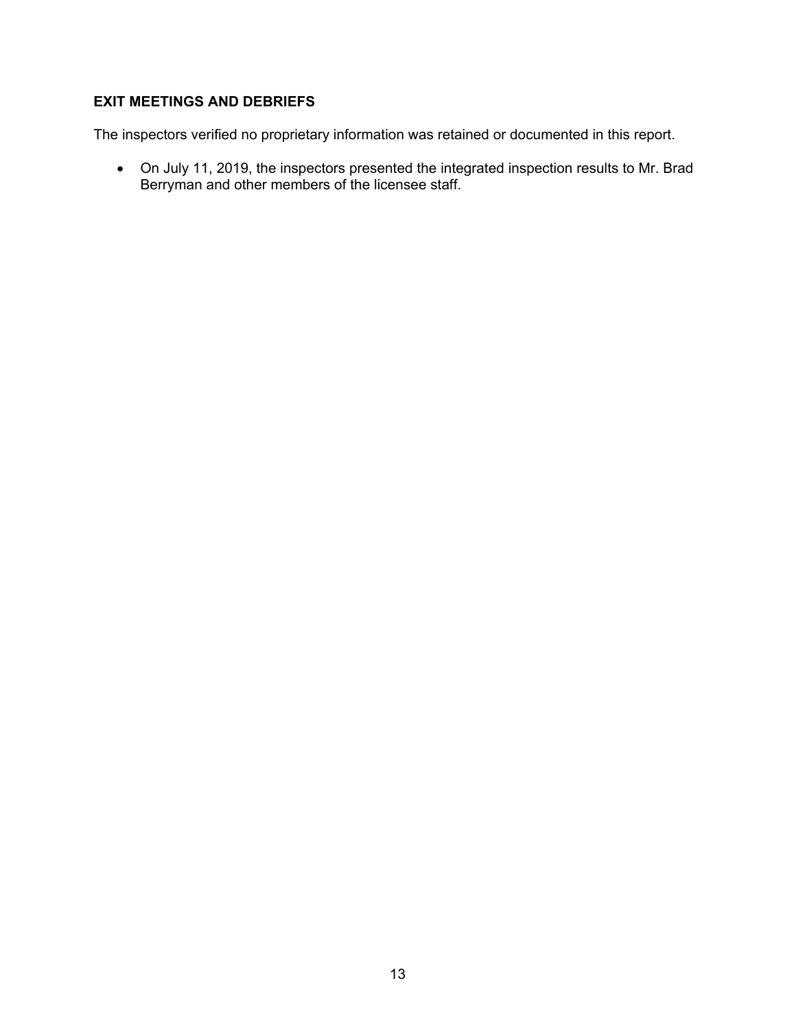# **EXIT MEETINGS AND DEBRIEFS**

The inspectors verified no proprietary information was retained or documented in this report.

 On July 11, 2019, the inspectors presented the integrated inspection results to Mr. Brad Berryman and other members of the licensee staff.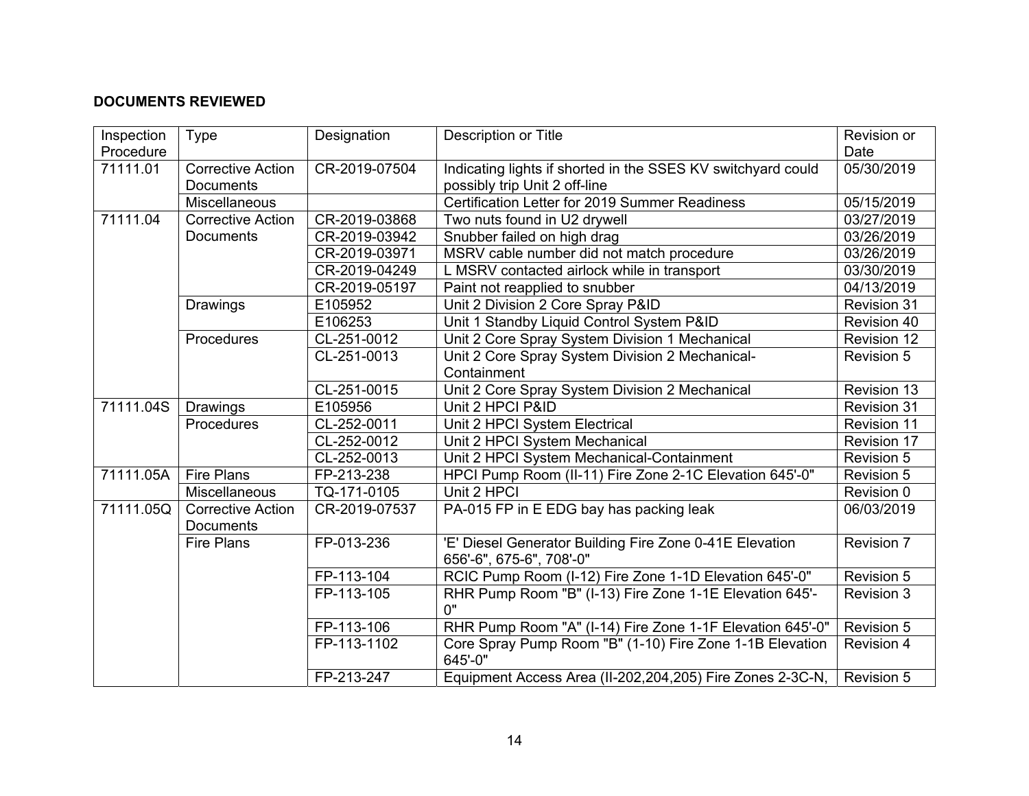## **DOCUMENTS REVIEWED**

| Inspection<br>Procedure | Type                     | Designation   | <b>Description or Title</b>                                         | Revision or<br>Date |
|-------------------------|--------------------------|---------------|---------------------------------------------------------------------|---------------------|
| 71111.01                | <b>Corrective Action</b> | CR-2019-07504 | Indicating lights if shorted in the SSES KV switchyard could        | 05/30/2019          |
|                         | <b>Documents</b>         |               | possibly trip Unit 2 off-line                                       |                     |
|                         | Miscellaneous            |               | Certification Letter for 2019 Summer Readiness                      | 05/15/2019          |
| 71111.04                | <b>Corrective Action</b> | CR-2019-03868 | Two nuts found in U2 drywell                                        | 03/27/2019          |
|                         | <b>Documents</b>         | CR-2019-03942 | Snubber failed on high drag                                         | 03/26/2019          |
|                         |                          | CR-2019-03971 | MSRV cable number did not match procedure                           | 03/26/2019          |
|                         |                          | CR-2019-04249 | L MSRV contacted airlock while in transport                         | 03/30/2019          |
|                         |                          | CR-2019-05197 | Paint not reapplied to snubber                                      | 04/13/2019          |
|                         | Drawings                 | E105952       | Unit 2 Division 2 Core Spray P&ID                                   | Revision 31         |
|                         |                          | E106253       | Unit 1 Standby Liquid Control System P&ID                           | Revision 40         |
|                         | Procedures               | CL-251-0012   | Unit 2 Core Spray System Division 1 Mechanical                      | Revision 12         |
|                         |                          | CL-251-0013   | Unit 2 Core Spray System Division 2 Mechanical-                     | <b>Revision 5</b>   |
|                         |                          |               | Containment                                                         |                     |
|                         |                          | CL-251-0015   |                                                                     | <b>Revision 13</b>  |
| 71111.04S               | Drawings                 | E105956       | Unit 2 Core Spray System Division 2 Mechanical<br>Unit 2 HPCI P&ID  | Revision 31         |
|                         | Procedures               | CL-252-0011   |                                                                     | Revision 11         |
|                         |                          |               | Unit 2 HPCI System Electrical                                       |                     |
|                         |                          | CL-252-0012   | Unit 2 HPCI System Mechanical                                       | Revision 17         |
|                         |                          | CL-252-0013   | Unit 2 HPCI System Mechanical-Containment                           | Revision 5          |
| 71111.05A               | <b>Fire Plans</b>        | FP-213-238    | HPCI Pump Room (II-11) Fire Zone 2-1C Elevation 645'-0"             | <b>Revision 5</b>   |
|                         | Miscellaneous            | TQ-171-0105   | Unit 2 HPCI                                                         | Revision 0          |
| 71111.05Q               | <b>Corrective Action</b> | CR-2019-07537 | PA-015 FP in E EDG bay has packing leak                             | 06/03/2019          |
|                         | Documents                |               |                                                                     |                     |
|                         | Fire Plans               | FP-013-236    | 'E' Diesel Generator Building Fire Zone 0-41E Elevation             | Revision 7          |
|                         |                          |               | 656'-6", 675-6", 708'-0"                                            |                     |
|                         |                          | FP-113-104    | RCIC Pump Room (I-12) Fire Zone 1-1D Elevation 645'-0"              | Revision 5          |
|                         |                          | FP-113-105    | RHR Pump Room "B" (I-13) Fire Zone 1-1E Elevation 645'-<br>0"       | Revision 3          |
|                         |                          | FP-113-106    | RHR Pump Room "A" (I-14) Fire Zone 1-1F Elevation 645'-0"           | Revision 5          |
|                         |                          | FP-113-1102   | Core Spray Pump Room "B" (1-10) Fire Zone 1-1B Elevation<br>645'-0" | <b>Revision 4</b>   |
|                         |                          | FP-213-247    | Equipment Access Area (II-202,204,205) Fire Zones 2-3C-N,           | Revision 5          |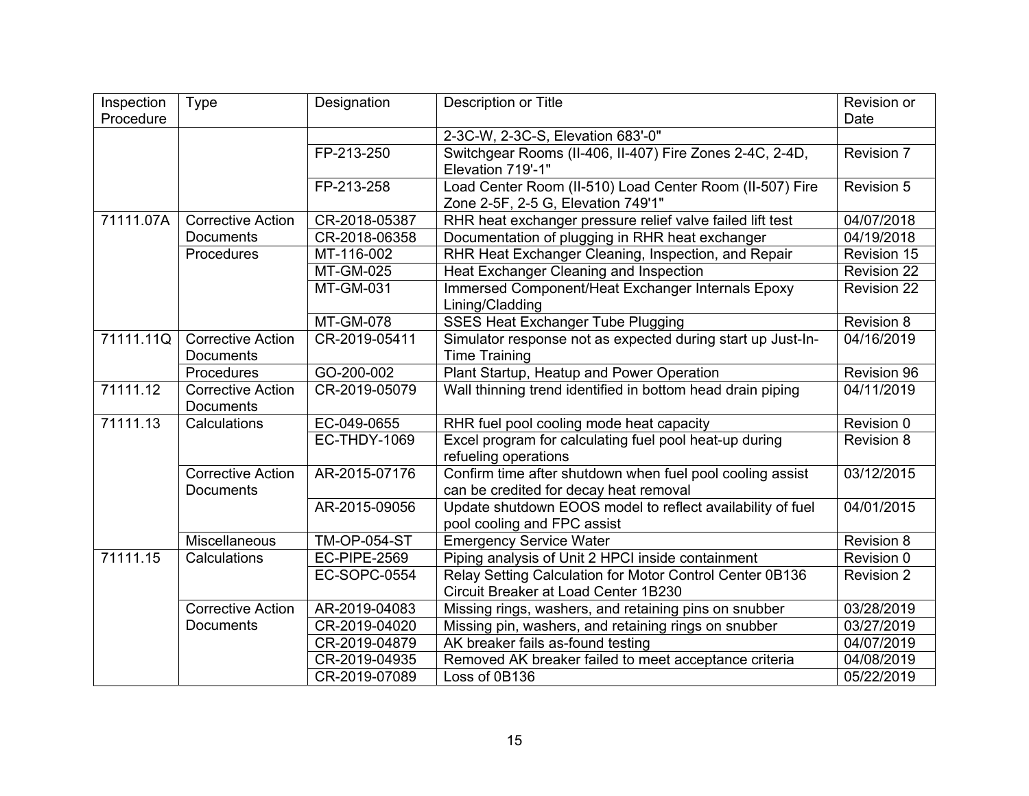| Inspection | <b>Type</b>              | Designation         | Description or Title                                        | Revision or        |
|------------|--------------------------|---------------------|-------------------------------------------------------------|--------------------|
| Procedure  |                          |                     |                                                             | Date               |
|            |                          |                     | 2-3C-W, 2-3C-S, Elevation 683'-0"                           |                    |
|            |                          | FP-213-250          | Switchgear Rooms (II-406, II-407) Fire Zones 2-4C, 2-4D,    | Revision 7         |
|            |                          |                     | Elevation 719'-1"                                           |                    |
|            |                          | FP-213-258          | Load Center Room (II-510) Load Center Room (II-507) Fire    | Revision 5         |
|            |                          |                     | Zone 2-5F, 2-5 G, Elevation 749'1"                          |                    |
| 71111.07A  | <b>Corrective Action</b> | CR-2018-05387       | RHR heat exchanger pressure relief valve failed lift test   | 04/07/2018         |
|            | <b>Documents</b>         | CR-2018-06358       | Documentation of plugging in RHR heat exchanger             | 04/19/2018         |
|            | Procedures               | MT-116-002          | RHR Heat Exchanger Cleaning, Inspection, and Repair         | Revision 15        |
|            |                          | <b>MT-GM-025</b>    | Heat Exchanger Cleaning and Inspection                      | Revision 22        |
|            |                          | <b>MT-GM-031</b>    | Immersed Component/Heat Exchanger Internals Epoxy           | <b>Revision 22</b> |
|            |                          |                     | Lining/Cladding                                             |                    |
|            |                          | <b>MT-GM-078</b>    | <b>SSES Heat Exchanger Tube Plugging</b>                    | Revision 8         |
| 71111.11Q  | <b>Corrective Action</b> | CR-2019-05411       | Simulator response not as expected during start up Just-In- | 04/16/2019         |
|            | <b>Documents</b>         |                     | <b>Time Training</b>                                        |                    |
|            | Procedures               | GO-200-002          | Plant Startup, Heatup and Power Operation                   | Revision 96        |
| 71111.12   | <b>Corrective Action</b> | CR-2019-05079       | Wall thinning trend identified in bottom head drain piping  | 04/11/2019         |
|            | <b>Documents</b>         |                     |                                                             |                    |
| 71111.13   | Calculations             | EC-049-0655         | RHR fuel pool cooling mode heat capacity                    | Revision 0         |
|            |                          | EC-THDY-1069        | Excel program for calculating fuel pool heat-up during      | Revision 8         |
|            |                          |                     | refueling operations                                        |                    |
|            | <b>Corrective Action</b> | AR-2015-07176       | Confirm time after shutdown when fuel pool cooling assist   | 03/12/2015         |
|            | <b>Documents</b>         |                     | can be credited for decay heat removal                      |                    |
|            |                          | AR-2015-09056       | Update shutdown EOOS model to reflect availability of fuel  | 04/01/2015         |
|            |                          |                     | pool cooling and FPC assist                                 |                    |
|            | Miscellaneous            | <b>TM-OP-054-ST</b> | <b>Emergency Service Water</b>                              | Revision 8         |
| 71111.15   | Calculations             | <b>EC-PIPE-2569</b> | Piping analysis of Unit 2 HPCI inside containment           | Revision 0         |
|            |                          | <b>EC-SOPC-0554</b> | Relay Setting Calculation for Motor Control Center 0B136    | <b>Revision 2</b>  |
|            |                          |                     | Circuit Breaker at Load Center 1B230                        |                    |
|            | <b>Corrective Action</b> | AR-2019-04083       | Missing rings, washers, and retaining pins on snubber       | 03/28/2019         |
|            | Documents                | CR-2019-04020       | Missing pin, washers, and retaining rings on snubber        | 03/27/2019         |
|            |                          | CR-2019-04879       | AK breaker fails as-found testing                           | 04/07/2019         |
|            |                          | CR-2019-04935       | Removed AK breaker failed to meet acceptance criteria       | 04/08/2019         |
|            |                          | CR-2019-07089       | Loss of 0B136                                               | 05/22/2019         |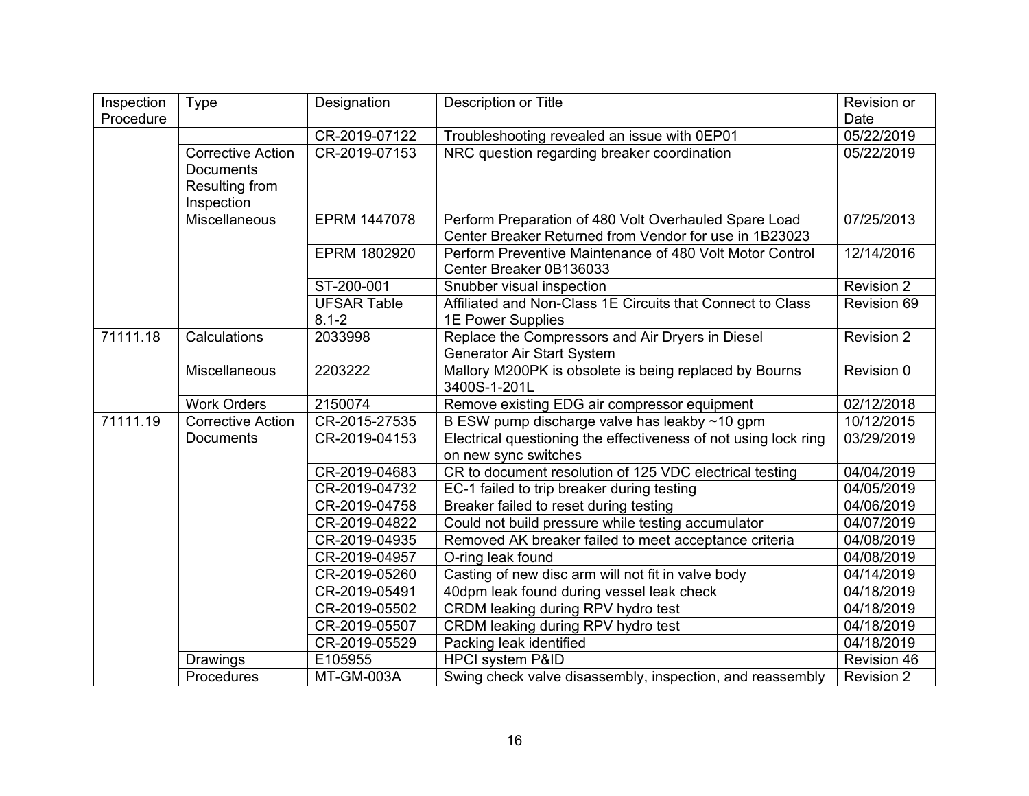| Inspection | <b>Type</b>                                                                  | Designation                     | <b>Description or Title</b>                                                                                     | Revision or       |
|------------|------------------------------------------------------------------------------|---------------------------------|-----------------------------------------------------------------------------------------------------------------|-------------------|
| Procedure  |                                                                              |                                 |                                                                                                                 | Date              |
|            |                                                                              | CR-2019-07122                   | Troubleshooting revealed an issue with 0EP01                                                                    | 05/22/2019        |
|            | <b>Corrective Action</b><br><b>Documents</b><br>Resulting from<br>Inspection | CR-2019-07153                   | NRC question regarding breaker coordination                                                                     | 05/22/2019        |
|            | Miscellaneous                                                                | EPRM 1447078                    | Perform Preparation of 480 Volt Overhauled Spare Load<br>Center Breaker Returned from Vendor for use in 1B23023 | 07/25/2013        |
|            |                                                                              | EPRM 1802920                    | Perform Preventive Maintenance of 480 Volt Motor Control<br>Center Breaker 0B136033                             | 12/14/2016        |
|            |                                                                              | ST-200-001                      | Snubber visual inspection                                                                                       | Revision 2        |
|            |                                                                              | <b>UFSAR Table</b><br>$8.1 - 2$ | Affiliated and Non-Class 1E Circuits that Connect to Class<br>1E Power Supplies                                 | Revision 69       |
| 71111.18   | Calculations                                                                 | 2033998                         | Replace the Compressors and Air Dryers in Diesel<br>Generator Air Start System                                  | <b>Revision 2</b> |
|            | Miscellaneous                                                                | 2203222                         | Mallory M200PK is obsolete is being replaced by Bourns<br>3400S-1-201L                                          | Revision 0        |
|            | <b>Work Orders</b>                                                           | 2150074                         | Remove existing EDG air compressor equipment                                                                    | 02/12/2018        |
| 71111.19   | <b>Corrective Action</b>                                                     | CR-2015-27535                   | B ESW pump discharge valve has leakby ~10 gpm                                                                   | 10/12/2015        |
|            | <b>Documents</b>                                                             | CR-2019-04153                   | Electrical questioning the effectiveness of not using lock ring<br>on new sync switches                         | 03/29/2019        |
|            |                                                                              | CR-2019-04683                   | CR to document resolution of 125 VDC electrical testing                                                         | 04/04/2019        |
|            |                                                                              | CR-2019-04732                   | EC-1 failed to trip breaker during testing                                                                      | 04/05/2019        |
|            |                                                                              | CR-2019-04758                   | Breaker failed to reset during testing                                                                          | 04/06/2019        |
|            |                                                                              | CR-2019-04822                   | Could not build pressure while testing accumulator                                                              | 04/07/2019        |
|            |                                                                              | CR-2019-04935                   | Removed AK breaker failed to meet acceptance criteria                                                           | 04/08/2019        |
|            |                                                                              | CR-2019-04957                   | O-ring leak found                                                                                               | 04/08/2019        |
|            |                                                                              | CR-2019-05260                   | Casting of new disc arm will not fit in valve body                                                              | 04/14/2019        |
|            |                                                                              | CR-2019-05491                   | 40dpm leak found during vessel leak check                                                                       | 04/18/2019        |
|            |                                                                              | CR-2019-05502                   | CRDM leaking during RPV hydro test                                                                              | 04/18/2019        |
|            |                                                                              | CR-2019-05507                   | CRDM leaking during RPV hydro test                                                                              | 04/18/2019        |
|            |                                                                              | CR-2019-05529                   | Packing leak identified                                                                                         | 04/18/2019        |
|            | Drawings                                                                     | E105955                         | <b>HPCI system P&amp;ID</b>                                                                                     | Revision 46       |
|            | Procedures                                                                   | MT-GM-003A                      | Swing check valve disassembly, inspection, and reassembly                                                       | <b>Revision 2</b> |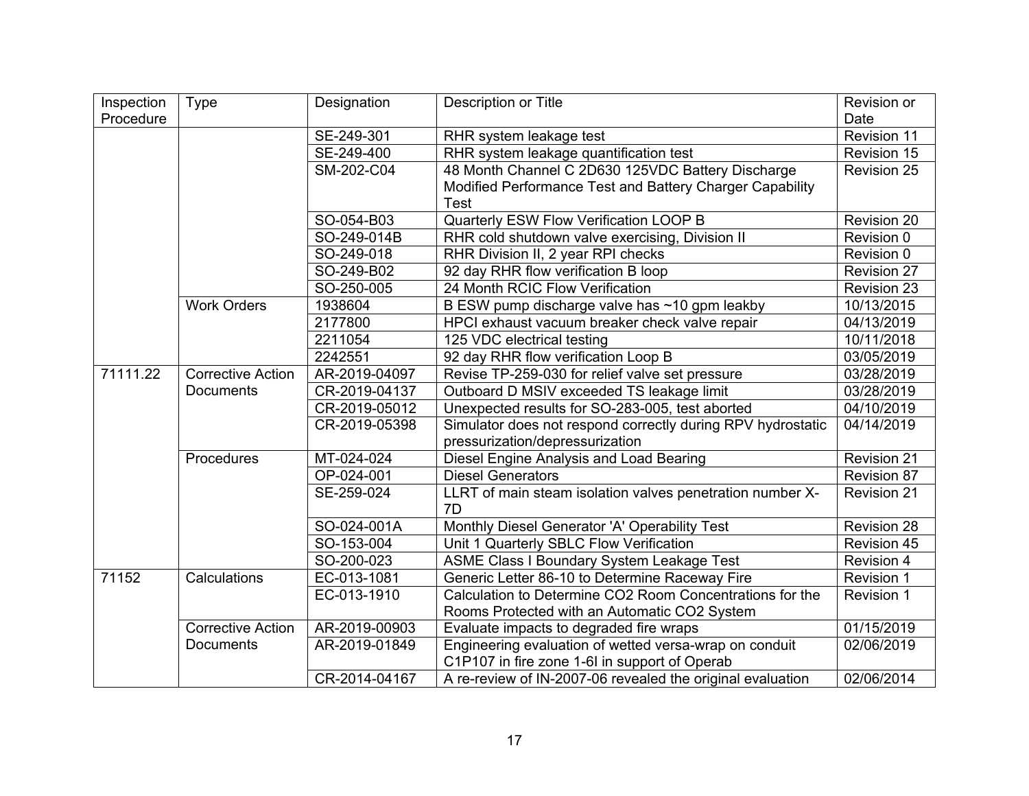| Inspection | <b>Type</b>              | Designation   | <b>Description or Title</b>                                 | Revision or        |
|------------|--------------------------|---------------|-------------------------------------------------------------|--------------------|
| Procedure  |                          |               |                                                             | Date               |
|            |                          | SE-249-301    | RHR system leakage test                                     | Revision 11        |
|            |                          | SE-249-400    | RHR system leakage quantification test                      | Revision 15        |
|            |                          | SM-202-C04    | 48 Month Channel C 2D630 125VDC Battery Discharge           | Revision 25        |
|            |                          |               | Modified Performance Test and Battery Charger Capability    |                    |
|            |                          |               | Test                                                        |                    |
|            |                          | SO-054-B03    | Quarterly ESW Flow Verification LOOP B                      | Revision 20        |
|            |                          | SO-249-014B   | RHR cold shutdown valve exercising, Division II             | Revision 0         |
|            |                          | SO-249-018    | RHR Division II, 2 year RPI checks                          | Revision 0         |
|            |                          | SO-249-B02    | 92 day RHR flow verification B loop                         | <b>Revision 27</b> |
|            |                          | SO-250-005    | 24 Month RCIC Flow Verification                             | Revision 23        |
|            | <b>Work Orders</b>       | 1938604       | B ESW pump discharge valve has ~10 gpm leakby               | 10/13/2015         |
|            |                          | 2177800       | HPCI exhaust vacuum breaker check valve repair              | 04/13/2019         |
|            |                          | 2211054       | 125 VDC electrical testing                                  | 10/11/2018         |
|            |                          | 2242551       | 92 day RHR flow verification Loop B                         | 03/05/2019         |
| 71111.22   | <b>Corrective Action</b> | AR-2019-04097 | Revise TP-259-030 for relief valve set pressure             | 03/28/2019         |
|            | <b>Documents</b>         | CR-2019-04137 | Outboard D MSIV exceeded TS leakage limit                   | 03/28/2019         |
|            |                          | CR-2019-05012 | Unexpected results for SO-283-005, test aborted             | 04/10/2019         |
|            |                          | CR-2019-05398 | Simulator does not respond correctly during RPV hydrostatic | 04/14/2019         |
|            |                          |               | pressurization/depressurization                             |                    |
|            | Procedures               | MT-024-024    | Diesel Engine Analysis and Load Bearing                     | <b>Revision 21</b> |
|            |                          | OP-024-001    | <b>Diesel Generators</b>                                    | <b>Revision 87</b> |
|            |                          | SE-259-024    | LLRT of main steam isolation valves penetration number X-   | <b>Revision 21</b> |
|            |                          |               | 7D                                                          |                    |
|            |                          | SO-024-001A   | Monthly Diesel Generator 'A' Operability Test               | Revision 28        |
|            |                          | SO-153-004    | Unit 1 Quarterly SBLC Flow Verification                     | <b>Revision 45</b> |
|            |                          | SO-200-023    | <b>ASME Class I Boundary System Leakage Test</b>            | <b>Revision 4</b>  |
| 71152      | Calculations             | EC-013-1081   | Generic Letter 86-10 to Determine Raceway Fire              | <b>Revision 1</b>  |
|            |                          | EC-013-1910   | Calculation to Determine CO2 Room Concentrations for the    | <b>Revision 1</b>  |
|            |                          |               | Rooms Protected with an Automatic CO2 System                |                    |
|            | <b>Corrective Action</b> | AR-2019-00903 | Evaluate impacts to degraded fire wraps                     | 01/15/2019         |
|            | <b>Documents</b>         | AR-2019-01849 | Engineering evaluation of wetted versa-wrap on conduit      | 02/06/2019         |
|            |                          |               | C1P107 in fire zone 1-6I in support of Operab               |                    |
|            |                          | CR-2014-04167 | A re-review of IN-2007-06 revealed the original evaluation  | 02/06/2014         |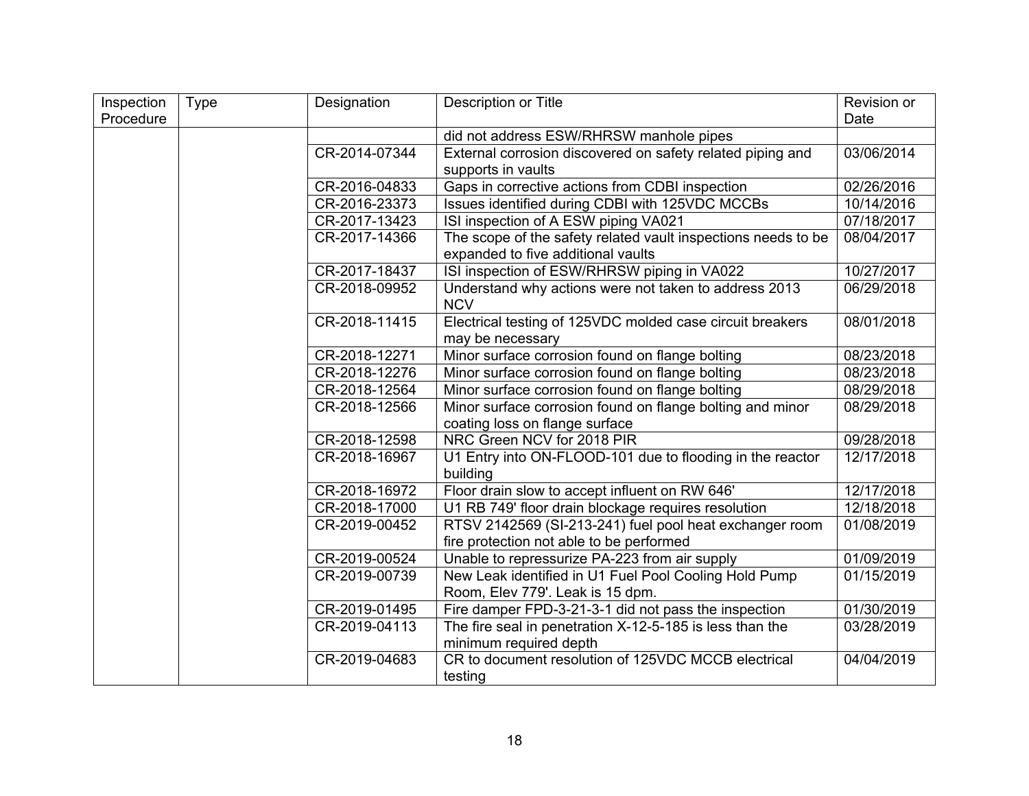| Inspection | Type | Designation   | Description or Title                                          | Revision or |
|------------|------|---------------|---------------------------------------------------------------|-------------|
| Procedure  |      |               |                                                               | Date        |
|            |      |               | did not address ESW/RHRSW manhole pipes                       |             |
|            |      | CR-2014-07344 | External corrosion discovered on safety related piping and    | 03/06/2014  |
|            |      |               | supports in vaults                                            |             |
|            |      | CR-2016-04833 | Gaps in corrective actions from CDBI inspection               | 02/26/2016  |
|            |      | CR-2016-23373 | Issues identified during CDBI with 125VDC MCCBs               | 10/14/2016  |
|            |      | CR-2017-13423 | ISI inspection of A ESW piping VA021                          | 07/18/2017  |
|            |      | CR-2017-14366 | The scope of the safety related vault inspections needs to be | 08/04/2017  |
|            |      |               | expanded to five additional vaults                            |             |
|            |      | CR-2017-18437 | ISI inspection of ESW/RHRSW piping in VA022                   | 10/27/2017  |
|            |      | CR-2018-09952 | Understand why actions were not taken to address 2013         | 06/29/2018  |
|            |      |               | <b>NCV</b>                                                    |             |
|            |      | CR-2018-11415 | Electrical testing of 125VDC molded case circuit breakers     | 08/01/2018  |
|            |      |               | may be necessary                                              |             |
|            |      | CR-2018-12271 | Minor surface corrosion found on flange bolting               | 08/23/2018  |
|            |      | CR-2018-12276 | Minor surface corrosion found on flange bolting               | 08/23/2018  |
|            |      | CR-2018-12564 | Minor surface corrosion found on flange bolting               | 08/29/2018  |
|            |      | CR-2018-12566 | Minor surface corrosion found on flange bolting and minor     | 08/29/2018  |
|            |      |               | coating loss on flange surface                                |             |
|            |      | CR-2018-12598 | NRC Green NCV for 2018 PIR                                    | 09/28/2018  |
|            |      | CR-2018-16967 | U1 Entry into ON-FLOOD-101 due to flooding in the reactor     | 12/17/2018  |
|            |      |               | building                                                      |             |
|            |      | CR-2018-16972 | Floor drain slow to accept influent on RW 646'                | 12/17/2018  |
|            |      | CR-2018-17000 | U1 RB 749' floor drain blockage requires resolution           | 12/18/2018  |
|            |      | CR-2019-00452 | RTSV 2142569 (SI-213-241) fuel pool heat exchanger room       | 01/08/2019  |
|            |      |               | fire protection not able to be performed                      |             |
|            |      | CR-2019-00524 | Unable to repressurize PA-223 from air supply                 | 01/09/2019  |
|            |      | CR-2019-00739 | New Leak identified in U1 Fuel Pool Cooling Hold Pump         | 01/15/2019  |
|            |      |               | Room, Elev 779'. Leak is 15 dpm.                              |             |
|            |      | CR-2019-01495 | Fire damper FPD-3-21-3-1 did not pass the inspection          | 01/30/2019  |
|            |      | CR-2019-04113 | The fire seal in penetration X-12-5-185 is less than the      | 03/28/2019  |
|            |      |               | minimum required depth                                        |             |
|            |      | CR-2019-04683 | CR to document resolution of 125VDC MCCB electrical           | 04/04/2019  |
|            |      |               | testing                                                       |             |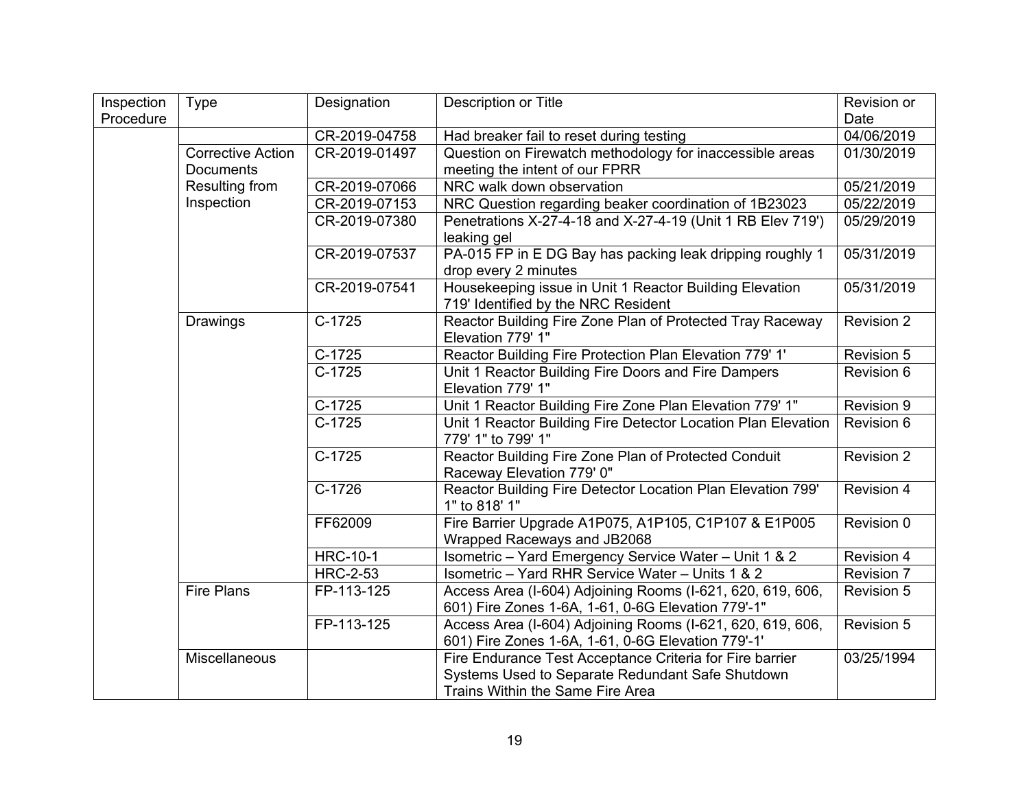| Inspection | <b>Type</b>              | Designation     | Description or Title                                                                                             | Revision or       |
|------------|--------------------------|-----------------|------------------------------------------------------------------------------------------------------------------|-------------------|
| Procedure  |                          |                 |                                                                                                                  | Date              |
|            |                          | CR-2019-04758   | Had breaker fail to reset during testing                                                                         | 04/06/2019        |
|            | <b>Corrective Action</b> | CR-2019-01497   | Question on Firewatch methodology for inaccessible areas                                                         | 01/30/2019        |
|            | <b>Documents</b>         |                 | meeting the intent of our FPRR                                                                                   |                   |
|            | Resulting from           | CR-2019-07066   | NRC walk down observation                                                                                        | 05/21/2019        |
|            | Inspection               | CR-2019-07153   | NRC Question regarding beaker coordination of 1B23023                                                            | 05/22/2019        |
|            |                          | CR-2019-07380   | Penetrations X-27-4-18 and X-27-4-19 (Unit 1 RB Elev 719')<br>leaking gel                                        | 05/29/2019        |
|            |                          | CR-2019-07537   | PA-015 FP in E DG Bay has packing leak dripping roughly 1                                                        | 05/31/2019        |
|            |                          |                 | drop every 2 minutes                                                                                             |                   |
|            |                          | CR-2019-07541   | Housekeeping issue in Unit 1 Reactor Building Elevation<br>719' Identified by the NRC Resident                   | 05/31/2019        |
|            | Drawings                 | $C-1725$        | Reactor Building Fire Zone Plan of Protected Tray Raceway<br>Elevation 779' 1"                                   | <b>Revision 2</b> |
|            |                          | $C-1725$        | Reactor Building Fire Protection Plan Elevation 779' 1'                                                          | Revision 5        |
|            |                          | $C-1725$        | Unit 1 Reactor Building Fire Doors and Fire Dampers<br>Elevation 779' 1"                                         | Revision 6        |
|            |                          | $C-1725$        | Unit 1 Reactor Building Fire Zone Plan Elevation 779' 1"                                                         | Revision 9        |
|            |                          | $C-1725$        | Unit 1 Reactor Building Fire Detector Location Plan Elevation<br>779' 1" to 799' 1"                              | Revision 6        |
|            |                          | $C-1725$        | Reactor Building Fire Zone Plan of Protected Conduit<br>Raceway Elevation 779' 0"                                | Revision 2        |
|            |                          | $C-1726$        | Reactor Building Fire Detector Location Plan Elevation 799'<br>1" to 818' 1"                                     | Revision 4        |
|            |                          | FF62009         | Fire Barrier Upgrade A1P075, A1P105, C1P107 & E1P005<br>Wrapped Raceways and JB2068                              | Revision 0        |
|            |                          | <b>HRC-10-1</b> | Isometric - Yard Emergency Service Water - Unit 1 & 2                                                            | Revision 4        |
|            |                          | <b>HRC-2-53</b> | Isometric - Yard RHR Service Water - Units 1 & 2                                                                 | Revision 7        |
|            | <b>Fire Plans</b>        | FP-113-125      | Access Area (I-604) Adjoining Rooms (I-621, 620, 619, 606,<br>601) Fire Zones 1-6A, 1-61, 0-6G Elevation 779'-1" | Revision 5        |
|            |                          | FP-113-125      | Access Area (I-604) Adjoining Rooms (I-621, 620, 619, 606,<br>601) Fire Zones 1-6A, 1-61, 0-6G Elevation 779'-1' | Revision 5        |
|            | Miscellaneous            |                 | Fire Endurance Test Acceptance Criteria for Fire barrier                                                         | 03/25/1994        |
|            |                          |                 | Systems Used to Separate Redundant Safe Shutdown                                                                 |                   |
|            |                          |                 | Trains Within the Same Fire Area                                                                                 |                   |